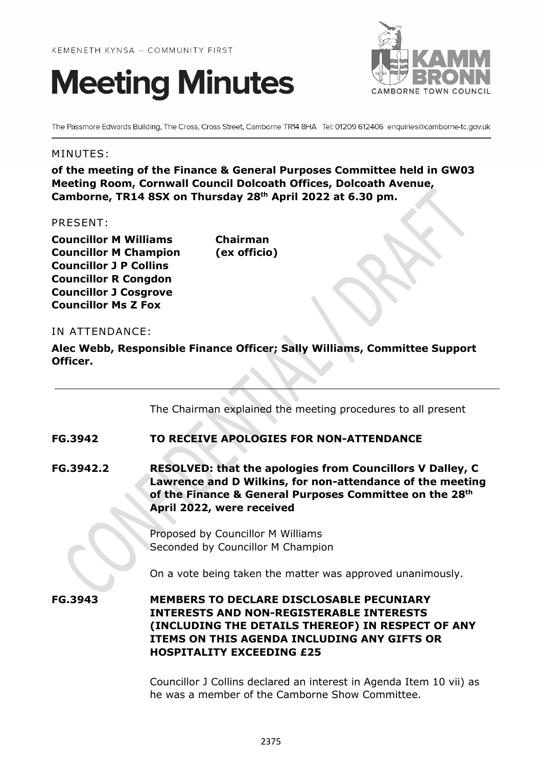



The Passmore Edwards Building, The Cross, Cross Street, Camborne TR14 8HA Tel: 01209 612406 enquiries@camborne-tc.gov.uk

#### MINUTES:

**of the meeting of the Finance & General Purposes Committee held in GW03 Meeting Room, Cornwall Council Dolcoath Offices, Dolcoath Avenue, Camborne, TR14 8SX on Thursday 28th April 2022 at 6.30 pm.**

#### PRESENT:

**Councillor M Williams Chairman Councillor M Champion (ex officio) Councillor J P Collins Councillor R Congdon Councillor J Cosgrove Councillor Ms Z Fox**

#### IN ATTENDANCE:

**Alec Webb, Responsible Finance Officer; Sally Williams, Committee Support Officer.**

The Chairman explained the meeting procedures to all present

## **FG.3942 TO RECEIVE APOLOGIES FOR NON-ATTENDANCE**

**FG.3942.2 RESOLVED: that the apologies from Councillors V Dalley, C Lawrence and D Wilkins, for non-attendance of the meeting of the Finance & General Purposes Committee on the 28th April 2022, were received**

> Proposed by Councillor M Williams Seconded by Councillor M Champion

On a vote being taken the matter was approved unanimously.

**FG.3943 MEMBERS TO DECLARE DISCLOSABLE PECUNIARY INTERESTS AND NON-REGISTERABLE INTERESTS (INCLUDING THE DETAILS THEREOF) IN RESPECT OF ANY ITEMS ON THIS AGENDA INCLUDING ANY GIFTS OR HOSPITALITY EXCEEDING £25**

> Councillor J Collins declared an interest in Agenda Item 10 vii) as he was a member of the Camborne Show Committee.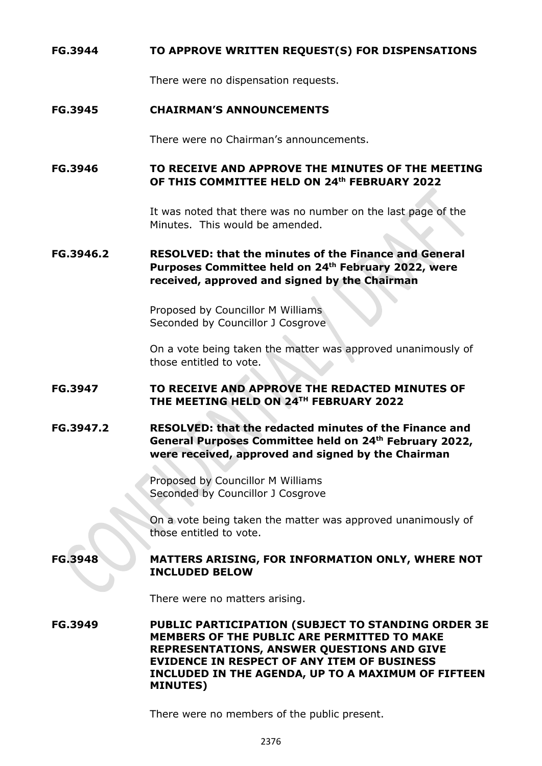### **FG.3944 TO APPROVE WRITTEN REQUEST(S) FOR DISPENSATIONS**

There were no dispensation requests.

#### **FG.3945 CHAIRMAN'S ANNOUNCEMENTS**

There were no Chairman's announcements.

### **FG.3946 TO RECEIVE AND APPROVE THE MINUTES OF THE MEETING OF THIS COMMITTEE HELD ON 24th FEBRUARY 2022**

It was noted that there was no number on the last page of the Minutes. This would be amended.

# **FG.3946.2 RESOLVED: that the minutes of the Finance and General Purposes Committee held on 24th February 2022, were received, approved and signed by the Chairman**

Proposed by Councillor M Williams Seconded by Councillor J Cosgrove

On a vote being taken the matter was approved unanimously of those entitled to vote.

## **FG.3947 TO RECEIVE AND APPROVE THE REDACTED MINUTES OF THE MEETING HELD ON 24TH FEBRUARY 2022**

# **FG.3947.2 RESOLVED: that the redacted minutes of the Finance and General Purposes Committee held on 24th February 2022, were received, approved and signed by the Chairman**

Proposed by Councillor M Williams Seconded by Councillor J Cosgrove

On a vote being taken the matter was approved unanimously of those entitled to vote.

#### **FG.3948 MATTERS ARISING, FOR INFORMATION ONLY, WHERE NOT INCLUDED BELOW**

There were no matters arising.

**FG.3949 PUBLIC PARTICIPATION (SUBJECT TO STANDING ORDER 3E MEMBERS OF THE PUBLIC ARE PERMITTED TO MAKE REPRESENTATIONS, ANSWER QUESTIONS AND GIVE EVIDENCE IN RESPECT OF ANY ITEM OF BUSINESS INCLUDED IN THE AGENDA, UP TO A MAXIMUM OF FIFTEEN MINUTES)**

There were no members of the public present.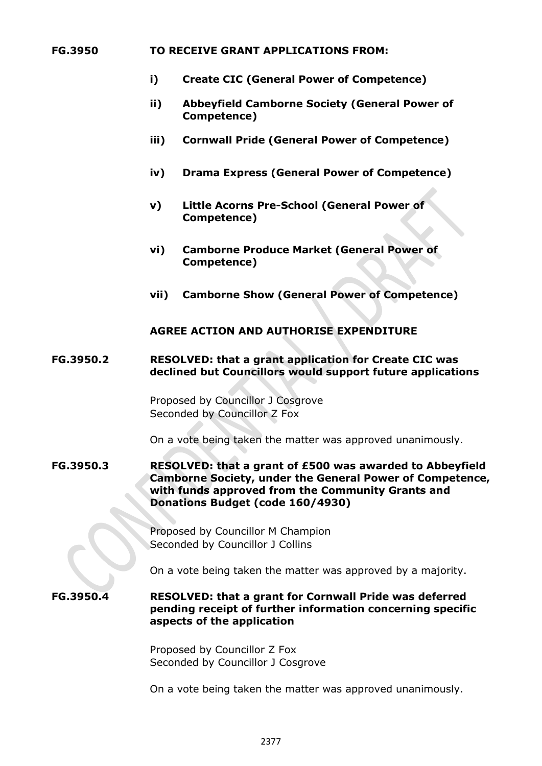#### **FG.3950 TO RECEIVE GRANT APPLICATIONS FROM:**

- **i) Create CIC (General Power of Competence)**
- **ii) Abbeyfield Camborne Society (General Power of Competence)**
- **iii) Cornwall Pride (General Power of Competence)**
- **iv) Drama Express (General Power of Competence)**
- **v) Little Acorns Pre-School (General Power of Competence)**
- **vi) Camborne Produce Market (General Power of Competence)**
- **vii) Camborne Show (General Power of Competence)**

## **AGREE ACTION AND AUTHORISE EXPENDITURE**

#### **FG.3950.2 RESOLVED: that a grant application for Create CIC was declined but Councillors would support future applications**

Proposed by Councillor J Cosgrove Seconded by Councillor Z Fox

On a vote being taken the matter was approved unanimously.

#### **FG.3950.3 RESOLVED: that a grant of £500 was awarded to Abbeyfield Camborne Society, under the General Power of Competence, with funds approved from the Community Grants and Donations Budget (code 160/4930)**

Proposed by Councillor M Champion Seconded by Councillor J Collins

On a vote being taken the matter was approved by a majority.

#### **FG.3950.4 RESOLVED: that a grant for Cornwall Pride was deferred pending receipt of further information concerning specific aspects of the application**

Proposed by Councillor Z Fox Seconded by Councillor J Cosgrove

On a vote being taken the matter was approved unanimously.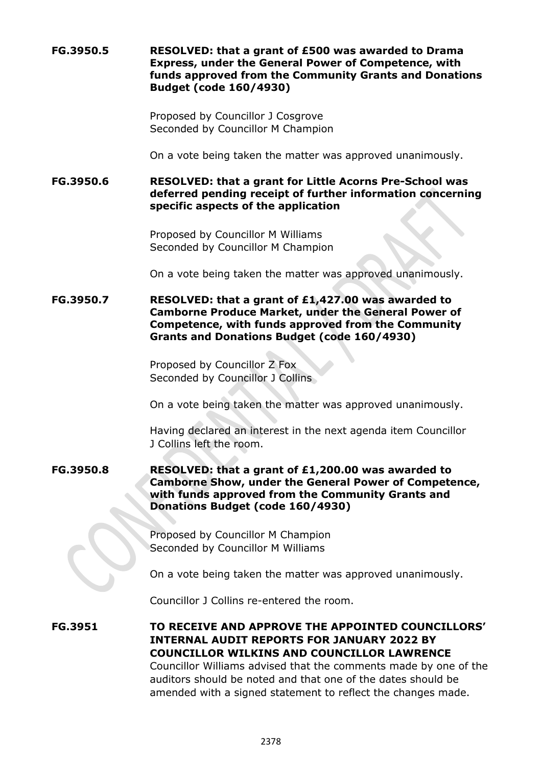**FG.3950.5 RESOLVED: that a grant of £500 was awarded to Drama Express, under the General Power of Competence, with funds approved from the Community Grants and Donations Budget (code 160/4930)**

> Proposed by Councillor J Cosgrove Seconded by Councillor M Champion

On a vote being taken the matter was approved unanimously.

**FG.3950.6 RESOLVED: that a grant for Little Acorns Pre-School was deferred pending receipt of further information concerning specific aspects of the application**

> Proposed by Councillor M Williams Seconded by Councillor M Champion

On a vote being taken the matter was approved unanimously.

**FG.3950.7 RESOLVED: that a grant of £1,427.00 was awarded to Camborne Produce Market, under the General Power of Competence, with funds approved from the Community Grants and Donations Budget (code 160/4930)**

> Proposed by Councillor Z Fox Seconded by Councillor J Collins

On a vote being taken the matter was approved unanimously.

Having declared an interest in the next agenda item Councillor J Collins left the room.

**FG.3950.8 RESOLVED: that a grant of £1,200.00 was awarded to Camborne Show, under the General Power of Competence, with funds approved from the Community Grants and Donations Budget (code 160/4930)**

> Proposed by Councillor M Champion Seconded by Councillor M Williams

On a vote being taken the matter was approved unanimously.

Councillor J Collins re-entered the room.

**FG.3951 TO RECEIVE AND APPROVE THE APPOINTED COUNCILLORS' INTERNAL AUDIT REPORTS FOR JANUARY 2022 BY COUNCILLOR WILKINS AND COUNCILLOR LAWRENCE** Councillor Williams advised that the comments made by one of the auditors should be noted and that one of the dates should be amended with a signed statement to reflect the changes made.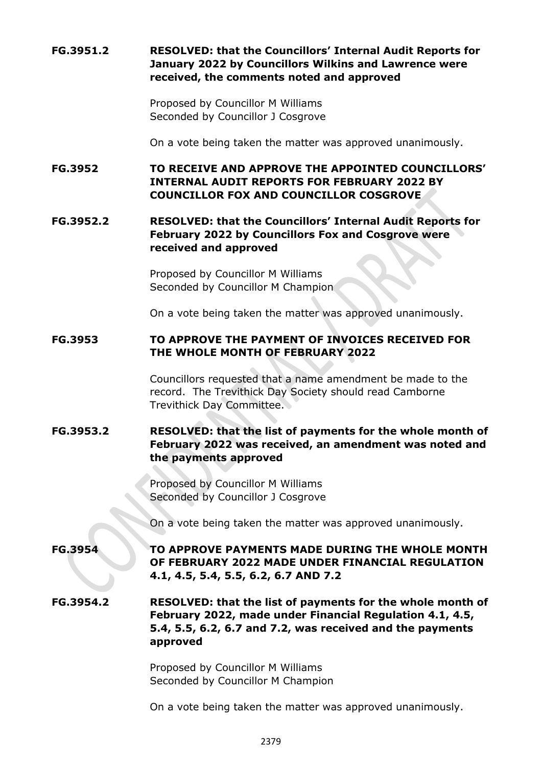# **FG.3951.2 RESOLVED: that the Councillors' Internal Audit Reports for January 2022 by Councillors Wilkins and Lawrence were received, the comments noted and approved**

Proposed by Councillor M Williams Seconded by Councillor J Cosgrove

On a vote being taken the matter was approved unanimously.

**FG.3952 TO RECEIVE AND APPROVE THE APPOINTED COUNCILLORS' INTERNAL AUDIT REPORTS FOR FEBRUARY 2022 BY COUNCILLOR FOX AND COUNCILLOR COSGROVE**

# **FG.3952.2 RESOLVED: that the Councillors' Internal Audit Reports for February 2022 by Councillors Fox and Cosgrove were received and approved**

Proposed by Councillor M Williams Seconded by Councillor M Champion

On a vote being taken the matter was approved unanimously.

# **FG.3953 TO APPROVE THE PAYMENT OF INVOICES RECEIVED FOR THE WHOLE MONTH OF FEBRUARY 2022**

Councillors requested that a name amendment be made to the record. The Trevithick Day Society should read Camborne Trevithick Day Committee.

# **FG.3953.2 RESOLVED: that the list of payments for the whole month of February 2022 was received, an amendment was noted and the payments approved**

Proposed by Councillor M Williams Seconded by Councillor J Cosgrove

On a vote being taken the matter was approved unanimously.

# **FG.3954 TO APPROVE PAYMENTS MADE DURING THE WHOLE MONTH OF FEBRUARY 2022 MADE UNDER FINANCIAL REGULATION 4.1, 4.5, 5.4, 5.5, 6.2, 6.7 AND 7.2**

**FG.3954.2 RESOLVED: that the list of payments for the whole month of February 2022, made under Financial Regulation 4.1, 4.5, 5.4, 5.5, 6.2, 6.7 and 7.2, was received and the payments approved**

> Proposed by Councillor M Williams Seconded by Councillor M Champion

On a vote being taken the matter was approved unanimously.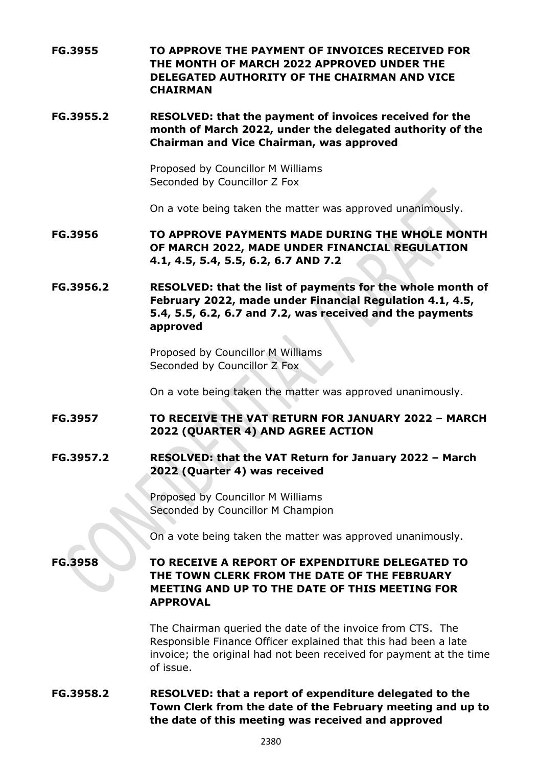**FG.3955 TO APPROVE THE PAYMENT OF INVOICES RECEIVED FOR THE MONTH OF MARCH 2022 APPROVED UNDER THE DELEGATED AUTHORITY OF THE CHAIRMAN AND VICE CHAIRMAN**

**FG.3955.2 RESOLVED: that the payment of invoices received for the month of March 2022, under the delegated authority of the Chairman and Vice Chairman, was approved**

> Proposed by Councillor M Williams Seconded by Councillor Z Fox

On a vote being taken the matter was approved unanimously.

**FG.3956 TO APPROVE PAYMENTS MADE DURING THE WHOLE MONTH OF MARCH 2022, MADE UNDER FINANCIAL REGULATION 4.1, 4.5, 5.4, 5.5, 6.2, 6.7 AND 7.2**

**FG.3956.2 RESOLVED: that the list of payments for the whole month of February 2022, made under Financial Regulation 4.1, 4.5, 5.4, 5.5, 6.2, 6.7 and 7.2, was received and the payments approved**

> Proposed by Councillor M Williams Seconded by Councillor Z Fox

On a vote being taken the matter was approved unanimously.

**FG.3957 TO RECEIVE THE VAT RETURN FOR JANUARY 2022 – MARCH 2022 (QUARTER 4) AND AGREE ACTION**

**FG.3957.2 RESOLVED: that the VAT Return for January 2022 – March 2022 (Quarter 4) was received** 

> Proposed by Councillor M Williams Seconded by Councillor M Champion

On a vote being taken the matter was approved unanimously.

**FG.3958 TO RECEIVE A REPORT OF EXPENDITURE DELEGATED TO THE TOWN CLERK FROM THE DATE OF THE FEBRUARY MEETING AND UP TO THE DATE OF THIS MEETING FOR APPROVAL**

> The Chairman queried the date of the invoice from CTS. The Responsible Finance Officer explained that this had been a late invoice; the original had not been received for payment at the time of issue.

**FG.3958.2 RESOLVED: that a report of expenditure delegated to the Town Clerk from the date of the February meeting and up to the date of this meeting was received and approved**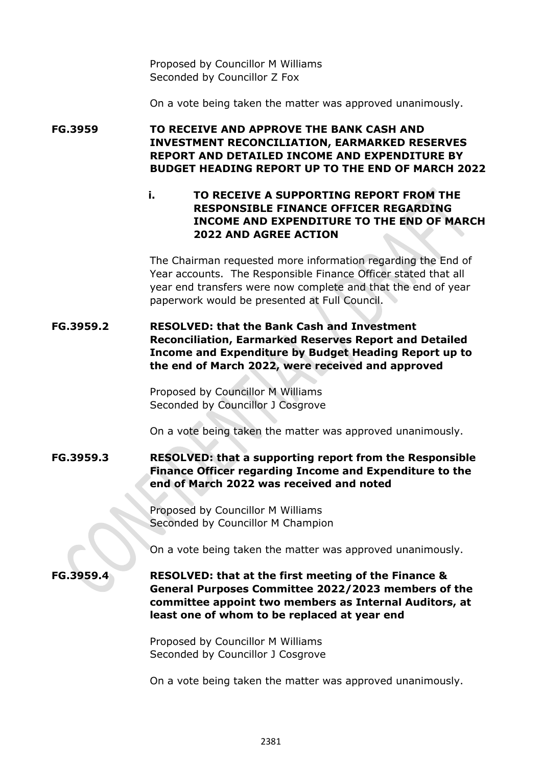Proposed by Councillor M Williams Seconded by Councillor Z Fox

On a vote being taken the matter was approved unanimously.

**FG.3959 TO RECEIVE AND APPROVE THE BANK CASH AND INVESTMENT RECONCILIATION, EARMARKED RESERVES REPORT AND DETAILED INCOME AND EXPENDITURE BY BUDGET HEADING REPORT UP TO THE END OF MARCH 2022**

> **i. TO RECEIVE A SUPPORTING REPORT FROM THE RESPONSIBLE FINANCE OFFICER REGARDING INCOME AND EXPENDITURE TO THE END OF MARCH 2022 AND AGREE ACTION**

The Chairman requested more information regarding the End of Year accounts. The Responsible Finance Officer stated that all year end transfers were now complete and that the end of year paperwork would be presented at Full Council.

# **FG.3959.2 RESOLVED: that the Bank Cash and Investment Reconciliation, Earmarked Reserves Report and Detailed Income and Expenditure by Budget Heading Report up to the end of March 2022, were received and approved**

Proposed by Councillor M Williams Seconded by Councillor J Cosgrove

On a vote being taken the matter was approved unanimously.

**FG.3959.3 RESOLVED: that a supporting report from the Responsible Finance Officer regarding Income and Expenditure to the end of March 2022 was received and noted**

> Proposed by Councillor M Williams Seconded by Councillor M Champion

On a vote being taken the matter was approved unanimously.

**FG.3959.4 RESOLVED: that at the first meeting of the Finance & General Purposes Committee 2022/2023 members of the committee appoint two members as Internal Auditors, at least one of whom to be replaced at year end**

> Proposed by Councillor M Williams Seconded by Councillor J Cosgrove

On a vote being taken the matter was approved unanimously.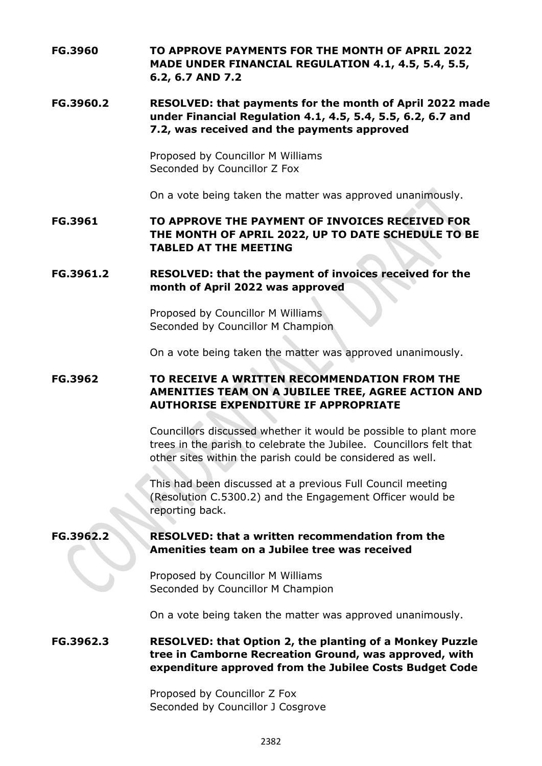**FG.3960 TO APPROVE PAYMENTS FOR THE MONTH OF APRIL 2022 MADE UNDER FINANCIAL REGULATION 4.1, 4.5, 5.4, 5.5, 6.2, 6.7 AND 7.2**

## **FG.3960.2 RESOLVED: that payments for the month of April 2022 made under Financial Regulation 4.1, 4.5, 5.4, 5.5, 6.2, 6.7 and 7.2, was received and the payments approved**

Proposed by Councillor M Williams Seconded by Councillor Z Fox

On a vote being taken the matter was approved unanimously.

**FG.3961 TO APPROVE THE PAYMENT OF INVOICES RECEIVED FOR THE MONTH OF APRIL 2022, UP TO DATE SCHEDULE TO BE TABLED AT THE MEETING**

### **FG.3961.2 RESOLVED: that the payment of invoices received for the month of April 2022 was approved**

Proposed by Councillor M Williams Seconded by Councillor M Champion

On a vote being taken the matter was approved unanimously.

# **FG.3962 TO RECEIVE A WRITTEN RECOMMENDATION FROM THE AMENITIES TEAM ON A JUBILEE TREE, AGREE ACTION AND AUTHORISE EXPENDITURE IF APPROPRIATE**

Councillors discussed whether it would be possible to plant more trees in the parish to celebrate the Jubilee. Councillors felt that other sites within the parish could be considered as well.

This had been discussed at a previous Full Council meeting (Resolution C.5300.2) and the Engagement Officer would be reporting back.

## **FG.3962.2 RESOLVED: that a written recommendation from the Amenities team on a Jubilee tree was received**

Proposed by Councillor M Williams Seconded by Councillor M Champion

On a vote being taken the matter was approved unanimously.

## **FG.3962.3 RESOLVED: that Option 2, the planting of a Monkey Puzzle tree in Camborne Recreation Ground, was approved, with expenditure approved from the Jubilee Costs Budget Code**

Proposed by Councillor Z Fox Seconded by Councillor J Cosgrove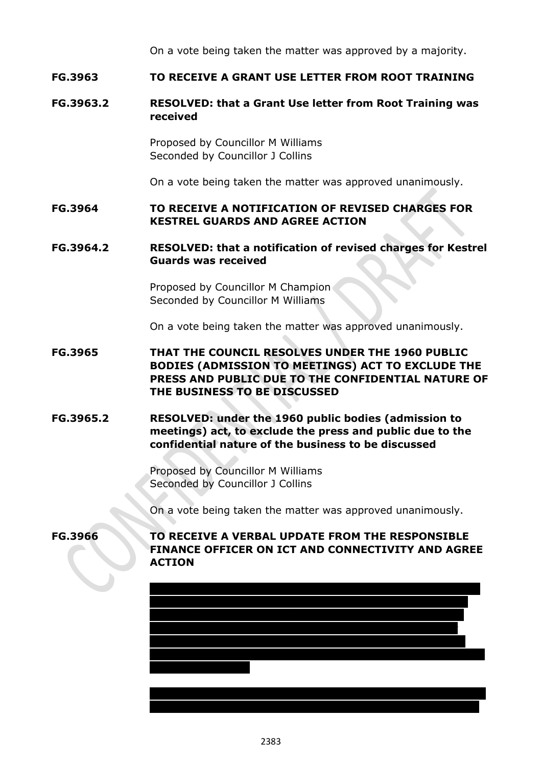On a vote being taken the matter was approved by a majority.

## **FG.3963 TO RECEIVE A GRANT USE LETTER FROM ROOT TRAINING**

#### **FG.3963.2 RESOLVED: that a Grant Use letter from Root Training was received**

Proposed by Councillor M Williams Seconded by Councillor J Collins

On a vote being taken the matter was approved unanimously.

### **FG.3964 TO RECEIVE A NOTIFICATION OF REVISED CHARGES FOR KESTREL GUARDS AND AGREE ACTION**

#### **FG.3964.2 RESOLVED: that a notification of revised charges for Kestrel Guards was received**

Proposed by Councillor M Champion Seconded by Councillor M Williams

On a vote being taken the matter was approved unanimously.

# **FG.3965 THAT THE COUNCIL RESOLVES UNDER THE 1960 PUBLIC BODIES (ADMISSION TO MEETINGS) ACT TO EXCLUDE THE PRESS AND PUBLIC DUE TO THE CONFIDENTIAL NATURE OF THE BUSINESS TO BE DISCUSSED**

## **FG.3965.2 RESOLVED: under the 1960 public bodies (admission to meetings) act, to exclude the press and public due to the confidential nature of the business to be discussed**

Proposed by Councillor M Williams Seconded by Councillor J Collins

On a vote being taken the matter was approved unanimously.

## **FG.3966 TO RECEIVE A VERBAL UPDATE FROM THE RESPONSIBLE FINANCE OFFICER ON ICT AND CONNECTIVITY AND AGREE ACTION**